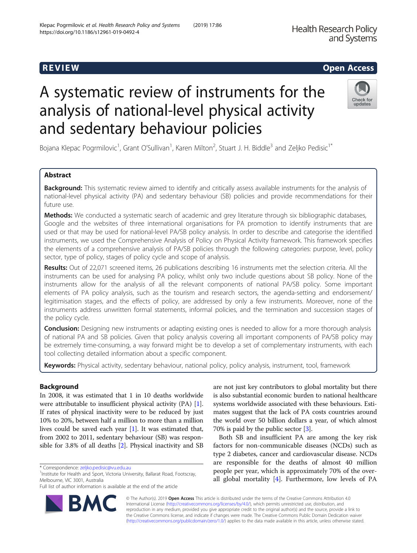# A systematic review of instruments for the analysis of national-level physical activity and sedentary behaviour policies

Bojana Klepac Pogrmilovic<sup>1</sup>, Grant O'Sullivan<sup>1</sup>, Karen Milton<sup>2</sup>, Stuart J. H. Biddle<sup>3</sup> and Zeljko Pedisic<sup>1\*</sup>

# Abstract

Background: This systematic review aimed to identify and critically assess available instruments for the analysis of national-level physical activity (PA) and sedentary behaviour (SB) policies and provide recommendations for their future use.

Methods: We conducted a systematic search of academic and grey literature through six bibliographic databases, Google and the websites of three international organisations for PA promotion to identify instruments that are used or that may be used for national-level PA/SB policy analysis. In order to describe and categorise the identified instruments, we used the Comprehensive Analysis of Policy on Physical Activity framework. This framework specifies the elements of a comprehensive analysis of PA/SB policies through the following categories: purpose, level, policy sector, type of policy, stages of policy cycle and scope of analysis.

Results: Out of 22,071 screened items, 26 publications describing 16 instruments met the selection criteria. All the instruments can be used for analysing PA policy, whilst only two include questions about SB policy. None of the instruments allow for the analysis of all the relevant components of national PA/SB policy. Some important elements of PA policy analysis, such as the tourism and research sectors, the agenda-setting and endorsement/ legitimisation stages, and the effects of policy, are addressed by only a few instruments. Moreover, none of the instruments address unwritten formal statements, informal policies, and the termination and succession stages of the policy cycle.

**Conclusion:** Designing new instruments or adapting existing ones is needed to allow for a more thorough analysis of national PA and SB policies. Given that policy analysis covering all important components of PA/SB policy may be extremely time-consuming, a way forward might be to develop a set of complementary instruments, with each tool collecting detailed information about a specific component.

Keywords: Physical activity, sedentary behaviour, national policy, policy analysis, instrument, tool, framework

# Background

In 2008, it was estimated that 1 in 10 deaths worldwide were attributable to insufficient physical activity (PA) [[1](#page-10-0)]. If rates of physical inactivity were to be reduced by just 10% to 20%, between half a million to more than a million lives could be saved each year [\[1\]](#page-10-0). It was estimated that, from 2002 to 2011, sedentary behaviour (SB) was responsible for 3.8% of all deaths [\[2\]](#page-10-0). Physical inactivity and SB

\* Correspondence: [zeljko.pedisic@vu.edu.au](mailto:zeljko.pedisic@vu.edu.au) <sup>1</sup>

 $1$ Institute for Health and Sport, Victoria University, Ballarat Road, Footscray, Melbourne, VIC 3001, Australia

Full list of author information is available at the end of the article

© The Author(s). 2019 **Open Access** This article is distributed under the terms of the Creative Commons Attribution 4.0 International License [\(http://creativecommons.org/licenses/by/4.0/](http://creativecommons.org/licenses/by/4.0/)), which permits unrestricted use, distribution, and reproduction in any medium, provided you give appropriate credit to the original author(s) and the source, provide a link to the Creative Commons license, and indicate if changes were made. The Creative Commons Public Domain Dedication waiver [\(http://creativecommons.org/publicdomain/zero/1.0/](http://creativecommons.org/publicdomain/zero/1.0/)) applies to the data made available in this article, unless otherwise stated.

are not just key contributors to global mortality but there is also substantial economic burden to national healthcare systems worldwide associated with these behaviours. Estimates suggest that the lack of PA costs countries around the world over 50 billion dollars a year, of which almost 70% is paid by the public sector [\[3](#page-10-0)].

Both SB and insufficient PA are among the key risk factors for non-communicable diseases (NCDs) such as type 2 diabetes, cancer and cardiovascular disease. NCDs are responsible for the deaths of almost 40 million people per year, which is approximately 70% of the overall global mortality [\[4](#page-10-0)]. Furthermore, low levels of PA





R EVI EW Open Access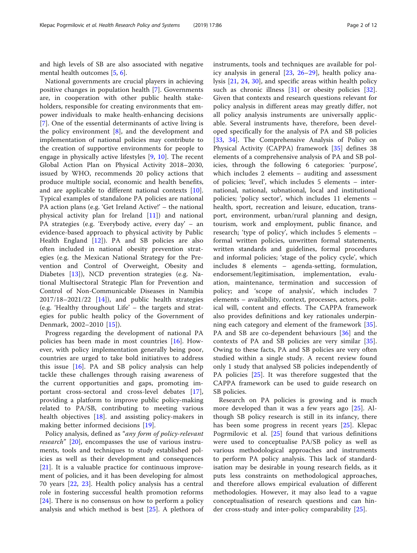and high levels of SB are also associated with negative mental health outcomes [\[5](#page-10-0), [6](#page-10-0)].

National governments are crucial players in achieving positive changes in population health [\[7](#page-10-0)]. Governments are, in cooperation with other public health stakeholders, responsible for creating environments that empower individuals to make health-enhancing decisions [[7\]](#page-10-0). One of the essential determinants of active living is the policy environment  $[8]$  $[8]$ , and the development and implementation of national policies may contribute to the creation of supportive environments for people to engage in physically active lifestyles [[9,](#page-10-0) [10](#page-10-0)]. The recent Global Action Plan on Physical Activity 2018–2030, issued by WHO, recommends 20 policy actions that produce multiple social, economic and health benefits, and are applicable to different national contexts [\[10](#page-10-0)]. Typical examples of standalone PA policies are national PA action plans (e.g. 'Get Ireland Active!' – the national physical activity plan for Ireland  $[11]$  $[11]$ ) and national PA strategies (e.g. 'Everybody active, every day' – an evidence-based approach to physical activity by Public Health England [\[12\]](#page-10-0)). PA and SB policies are also often included in national obesity prevention strategies (e.g. the Mexican National Strategy for the Prevention and Control of Overweight, Obesity and Diabetes [[13](#page-10-0)]), NCD prevention strategies (e.g. National Multisectoral Strategic Plan for Prevention and Control of Non-Communicable Diseases in Namibia  $2017/18-2021/22$  [[14\]](#page-10-0)), and public health strategies (e.g. 'Healthy throughout Life' – the targets and strategies for public health policy of the Government of Denmark, 2002–2010 [[15\]](#page-10-0)).

Progress regarding the development of national PA policies has been made in most countries [[16](#page-10-0)]. However, with policy implementation generally being poor, countries are urged to take bold initiatives to address this issue  $[16]$  $[16]$ . PA and SB policy analysis can help tackle these challenges through raising awareness of the current opportunities and gaps, promoting important cross-sectoral and cross-level debates [\[17](#page-10-0)], providing a platform to improve public policy-making related to PA/SB, contributing to meeting various health objectives [[18](#page-10-0)]. and assisting policy-makers in making better informed decisions [[19\]](#page-10-0).

Policy analysis, defined as "any form of policy-relevant research" [\[20](#page-10-0)], encompasses the use of various instruments, tools and techniques to study established policies as well as their development and consequences [[21\]](#page-10-0). It is a valuable practice for continuous improvement of policies, and it has been developing for almost 70 years [[22,](#page-10-0) [23\]](#page-10-0). Health policy analysis has a central role in fostering successful health promotion reforms [[24\]](#page-10-0). There is no consensus on how to perform a policy analysis and which method is best [[25\]](#page-10-0). A plethora of instruments, tools and techniques are available for policy analysis in general [[23](#page-10-0), [26](#page-10-0)–[29\]](#page-10-0), health policy analysis [[21,](#page-10-0) [24](#page-10-0), [30\]](#page-10-0), and specific areas within health policy such as chronic illness  $[31]$  $[31]$  or obesity policies  $[32]$  $[32]$ . Given that contexts and research questions relevant for policy analysis in different areas may greatly differ, not all policy analysis instruments are universally applicable. Several instruments have, therefore, been developed specifically for the analysis of PA and SB policies [[33,](#page-10-0) [34](#page-10-0)]. The Comprehensive Analysis of Policy on Physical Activity (CAPPA) framework [[35\]](#page-10-0) defines 38 elements of a comprehensive analysis of PA and SB policies, through the following 6 categories: 'purpose', which includes 2 elements – auditing and assessment of policies; 'level', which includes 5 elements – international, national, subnational, local and institutional policies; 'policy sector', which includes 11 elements – health, sport, recreation and leisure, education, transport, environment, urban/rural planning and design, tourism, work and employment, public finance, and research; 'type of policy', which includes 5 elements – formal written policies, unwritten formal statements, written standards and guidelines, formal procedures and informal policies; 'stage of the policy cycle', which includes 8 elements – agenda-setting, formulation, endorsement/legitimisation, implementation, evaluation, maintenance, termination and succession of policy; and 'scope of analysis', which includes 7 elements – availability, context, processes, actors, political will, content and effects. The CAPPA framework also provides definitions and key rationales underpinning each category and element of the framework [\[35](#page-10-0)]. PA and SB are co-dependent behaviours [\[36](#page-10-0)] and the contexts of PA and SB policies are very similar [\[35](#page-10-0)]. Owing to these facts, PA and SB policies are very often studied within a single study. A recent review found only 1 study that analysed SB policies independently of PA policies [\[25](#page-10-0)]. It was therefore suggested that the CAPPA framework can be used to guide research on SB policies.

Research on PA policies is growing and is much more developed than it was a few years ago [\[25](#page-10-0)]. Although SB policy research is still in its infancy, there has been some progress in recent years [[25\]](#page-10-0). Klepac Pogrmilovic et al. [\[25](#page-10-0)] found that various definitions were used to conceptualise PA/SB policy as well as various methodological approaches and instruments to perform PA policy analysis. This lack of standardisation may be desirable in young research fields, as it puts less constraints on methodological approaches, and therefore allows empirical evaluation of different methodologies. However, it may also lead to a vague conceptualisation of research questions and can hinder cross-study and inter-policy comparability [[25\]](#page-10-0).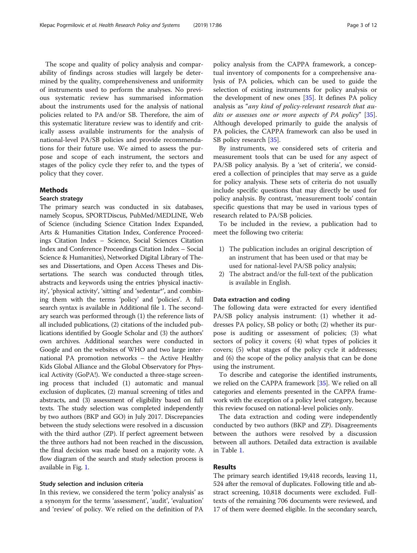The scope and quality of policy analysis and comparability of findings across studies will largely be determined by the quality, comprehensiveness and uniformity of instruments used to perform the analyses. No previous systematic review has summarised information about the instruments used for the analysis of national policies related to PA and/or SB. Therefore, the aim of this systematic literature review was to identify and critically assess available instruments for the analysis of national-level PA/SB policies and provide recommendations for their future use. We aimed to assess the purpose and scope of each instrument, the sectors and stages of the policy cycle they refer to, and the types of policy that they cover.

# Methods

# Search strategy

The primary search was conducted in six databases, namely Scopus, SPORTDiscus, PubMed/MEDLINE, Web of Science (including Science Citation Index Expanded, Arts & Humanities Citation Index, Conference Proceedings Citation Index – Science, Social Sciences Citation Index and Conference Proceedings Citation Index – Social Science & Humanities), Networked Digital Library of Theses and Dissertations, and Open Access Theses and Dissertations. The search was conducted through titles, abstracts and keywords using the entries 'physical inactivity', 'physical activity', 'sitting' and 'sedentar\*', and combining them with the terms 'policy' and 'policies'. A full search syntax is available in Additional file [1](#page-9-0). The secondary search was performed through (1) the reference lists of all included publications, (2) citations of the included publications identified by Google Scholar and (3) the authors' own archives. Additional searches were conducted in Google and on the websites of WHO and two large international PA promotion networks – the Active Healthy Kids Global Alliance and the Global Observatory for Physical Activity (GoPA!). We conducted a three-stage screening process that included (1) automatic and manual exclusion of duplicates, (2) manual screening of titles and abstracts, and (3) assessment of eligibility based on full texts. The study selection was completed independently by two authors (BKP and GO) in July 2017. Discrepancies between the study selections were resolved in a discussion with the third author (ZP). If perfect agreement between the three authors had not been reached in the discussion, the final decision was made based on a majority vote. A flow diagram of the search and study selection process is available in Fig. [1](#page-3-0).

# Study selection and inclusion criteria

In this review, we considered the term 'policy analysis' as a synonym for the terms 'assessment', 'audit', 'evaluation' and 'review' of policy. We relied on the definition of PA policy analysis from the CAPPA framework, a conceptual inventory of components for a comprehensive analysis of PA policies, which can be used to guide the selection of existing instruments for policy analysis or the development of new ones [\[35\]](#page-10-0). It defines PA policy analysis as "any kind of policy-relevant research that au-dits or assesses one or more aspects of PA policy" [\[35](#page-10-0)]. Although developed primarily to guide the analysis of PA policies, the CAPPA framework can also be used in SB policy research [[35\]](#page-10-0).

By instruments, we considered sets of criteria and measurement tools that can be used for any aspect of PA/SB policy analysis. By a 'set of criteria', we considered a collection of principles that may serve as a guide for policy analysis. These sets of criteria do not usually include specific questions that may directly be used for policy analysis. By contrast, 'measurement tools' contain specific questions that may be used in various types of research related to PA/SB policies.

To be included in the review, a publication had to meet the following two criteria:

- 1) The publication includes an original description of an instrument that has been used or that may be used for national-level PA/SB policy analysis;
- 2) The abstract and/or the full-text of the publication is available in English.

# Data extraction and coding

The following data were extracted for every identified PA/SB policy analysis instrument: (1) whether it addresses PA policy, SB policy or both; (2) whether its purpose is auditing or assessment of policies; (3) what sectors of policy it covers; (4) what types of policies it covers; (5) what stages of the policy cycle it addresses; and (6) the scope of the policy analysis that can be done using the instrument.

To describe and categorise the identified instruments, we relied on the CAPPA framework [\[35\]](#page-10-0). We relied on all categories and elements presented in the CAPPA framework with the exception of a policy level category, because this review focused on national-level policies only.

The data extraction and coding were independently conducted by two authors (BKP and ZP). Disagreements between the authors were resolved by a discussion between all authors. Detailed data extraction is available in Table [1.](#page-4-0)

# Results

The primary search identified 19,418 records, leaving 11, 524 after the removal of duplicates. Following title and abstract screening, 10,818 documents were excluded. Fulltexts of the remaining 706 documents were reviewed, and 17 of them were deemed eligible. In the secondary search,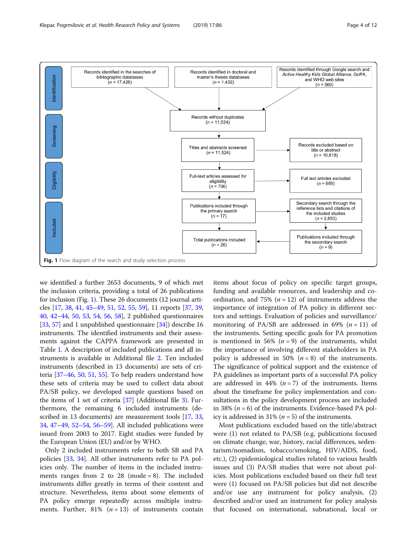<span id="page-3-0"></span>

we identified a further 2653 documents, 9 of which met the inclusion criteria, providing a total of 26 publications for inclusion (Fig. 1). These 26 documents (12 journal articles [[17](#page-10-0), [38](#page-10-0), [41](#page-10-0), [45](#page-11-0)–[49,](#page-11-0) [51,](#page-11-0) [52,](#page-11-0) [55,](#page-11-0) [59\]](#page-11-0), 11 reports [[37](#page-10-0), [39](#page-10-0), [40](#page-10-0), [42](#page-10-0)–[44](#page-11-0), [50](#page-11-0), [53,](#page-11-0) [54,](#page-11-0) [56](#page-11-0), [58](#page-11-0)], 2 published questionnaires [[33](#page-10-0), [57\]](#page-11-0) and 1 unpublished questionnaire [[34](#page-10-0)]) describe 16 instruments. The identified instruments and their assessments against the CAPPA framework are presented in Table [1](#page-4-0). A description of included publications and all instruments is available in Additional file [2](#page-9-0). Ten included instruments (described in 13 documents) are sets of criteria [[37](#page-10-0)–[46,](#page-11-0) [50,](#page-11-0) [51](#page-11-0), [55](#page-11-0)]. To help readers understand how these sets of criteria may be used to collect data about PA/SB policy, we developed sample questions based on the items of 1 set of criteria [[37](#page-10-0)] (Additional file [3](#page-9-0)). Furthermore, the remaining 6 included instruments (described in 13 documents) are measurement tools [[17](#page-10-0), [33](#page-10-0), [34](#page-10-0), [47](#page-11-0)–[49,](#page-11-0) [52](#page-11-0)–[54,](#page-11-0) [56](#page-11-0)–[59](#page-11-0)]. All included publications were issued from 2003 to 2017. Eight studies were funded by the European Union (EU) and/or by WHO.

Only 2 included instruments refer to both SB and PA policies [\[33](#page-10-0), [34\]](#page-10-0). All other instruments refer to PA policies only. The number of items in the included instruments ranges from 2 to 28 (mode = 8). The included instruments differ greatly in terms of their content and structure. Nevertheless, items about some elements of PA policy emerge repeatedly across multiple instruments. Further, 81%  $(n = 13)$  of instruments contain items about focus of policy on specific target groups, funding and available resources, and leadership and coordination, and 75% ( $n = 12$ ) of instruments address the importance of integration of PA policy in different sectors and settings. Evaluation of policies and surveillance/ monitoring of PA/SB are addressed in 69% ( $n = 11$ ) of the instruments. Setting specific goals for PA promotion is mentioned in 56%  $(n = 9)$  of the instruments, whilst the importance of involving different stakeholders in PA policy is addressed in 50%  $(n = 8)$  of the instruments. The significance of political support and the existence of PA guidelines as important parts of a successful PA policy are addressed in 44%  $(n=7)$  of the instruments. Items about the timeframe for policy implementation and consultations in the policy development process are included in 38% ( $n = 6$ ) of the instruments. Evidence-based PA policy is addressed in 31% ( $n = 5$ ) of the instruments.

Most publications excluded based on the title/abstract were (1) not related to PA/SB (e.g. publications focused on climate change, war, history, racial differences, sedentarism/nomadism, tobacco/smoking, HIV/AIDS, food, etc.), (2) epidemiological studies related to various health issues and (3) PA/SB studies that were not about policies. Most publications excluded based on their full text were (1) focused on PA/SB policies but did not describe and/or use any instrument for policy analysis, (2) described and/or used an instrument for policy analysis that focused on international, subnational, local or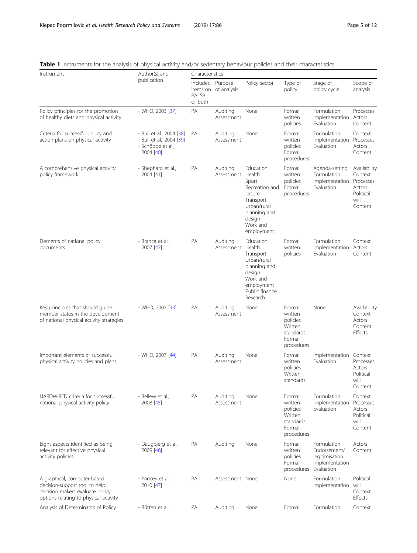| Instrument                                                                                                                               | Author(s) and<br>publication                                                           | Characteristics               |                                 |                                                                                                                                           |                                                                               |                                                                               |                                                                   |
|------------------------------------------------------------------------------------------------------------------------------------------|----------------------------------------------------------------------------------------|-------------------------------|---------------------------------|-------------------------------------------------------------------------------------------------------------------------------------------|-------------------------------------------------------------------------------|-------------------------------------------------------------------------------|-------------------------------------------------------------------|
|                                                                                                                                          |                                                                                        | Includes<br>PA, SB<br>or both | Purpose<br>items on of analysis | Policy sector                                                                                                                             | Type of<br>policy                                                             | Stage of<br>policy cycle                                                      | Scope of<br>analysis                                              |
| Policy principles for the promotion<br>of healthy diets and physical activity                                                            | - WHO, 2003 [37]                                                                       | PA                            | Auditing<br>Assessment          | None                                                                                                                                      | Formal<br>written<br>policies                                                 | Formulation<br>Implementation Actors<br>Evaluation                            | Processes<br>Content                                              |
| Criteria for successful policy and<br>action plans on physical activity                                                                  | - Bull et al., 2004 [38]<br>- Bull et al., 2004 [39]<br>- Schöppe et al.,<br>2004 [40] | PA                            | Auditing<br>Assessment          | None                                                                                                                                      | Formal<br>written<br>policies<br>Formal<br>procedures                         | Formulation<br>Implementation<br>Evaluation                                   | Context<br>Processes<br>Actors<br>Content                         |
| A comprehensive physical activity<br>policy framework                                                                                    | - Shephard et al.,<br>2004 [41]                                                        | PA                            | Auditing<br>Assessment          | Education<br>Health<br>Sport<br>Recreation and<br>leisure<br>Transport<br>Urban/rural<br>planning and<br>design<br>Work and<br>employment | Formal<br>written<br>policies<br>Formal<br>procedures                         | Agenda-setting<br>Formulation<br>Implementation Processes<br>Evaluation       | Availability<br>Context<br>Actors<br>Political<br>will<br>Content |
| Elements of national policy<br>documents                                                                                                 | - Branca et al.,<br>2007 [42]                                                          | PA                            | Auditing<br>Assessment          | Education<br>Health<br>Transport<br>Urban/rural<br>planning and<br>design<br>Work and<br>employment<br>Public finance<br>Research         | Formal<br>written<br>policies                                                 | Formulation<br>Implementation Actors<br>Evaluation                            | Context<br>Content                                                |
| Key principles that should quide<br>member states in the development<br>of national physical activity strategies                         | - WHO, 2007 [43]                                                                       | PA                            | Auditing<br>Assessment          | None                                                                                                                                      | Formal<br>written<br>policies<br>Written<br>standards<br>Formal<br>procedures | None                                                                          | Availability<br>Context<br>Actors<br>Content<br>Effects           |
| Important elements of successful<br>physical activity policies and plans                                                                 | - WHO, 2007 [44]                                                                       | PA                            | Auditing<br>Assessment          | None                                                                                                                                      | Formal<br>written<br>policies<br>Written<br>standards                         | Implementation Context<br>Evaluation                                          | Processes<br>Actors<br>Political<br>will<br>Content               |
| HARDWIRED criteria for successful<br>national physical activity policy                                                                   | - Bellew et al.,<br>2008 [45]                                                          | PA                            | Auditing<br>Assessment          | None                                                                                                                                      | Formal<br>written<br>policies<br>Written<br>standards<br>Formal<br>procedures | Formulation<br>Implementation<br>Evaluation                                   | Context<br>Processes<br>Actors<br>Political<br>will<br>Content    |
| Eight aspects identified as being<br>relevant for effective physical<br>activity policies                                                | - Daugbjerg et al.,<br>2009 [46]                                                       | PA                            | Auditing                        | None                                                                                                                                      | Formal<br>written<br>policies<br>Formal<br>procedures                         | Formulation<br>Fndorsement/<br>legitimisation<br>Implementation<br>Evaluation | Actors<br>Content                                                 |
| A graphical, computer-based<br>decision-support tool to help<br>decision makers evaluate policy<br>options relating to physical activity | - Yancey et al.,<br>2010 [47]                                                          | PA                            | Assessment None                 |                                                                                                                                           | None                                                                          | Formulation<br>Implementation will                                            | Political<br>Context<br>Effects                                   |
| Analysis of Determinants of Policy                                                                                                       | - Rütten et al.,                                                                       | PA                            | Auditing                        | None                                                                                                                                      | Formal                                                                        | Formulation                                                                   | Context                                                           |

<span id="page-4-0"></span>Table 1 Instruments for the analysis of physical activity and/or sedentary behaviour policies and their characteristics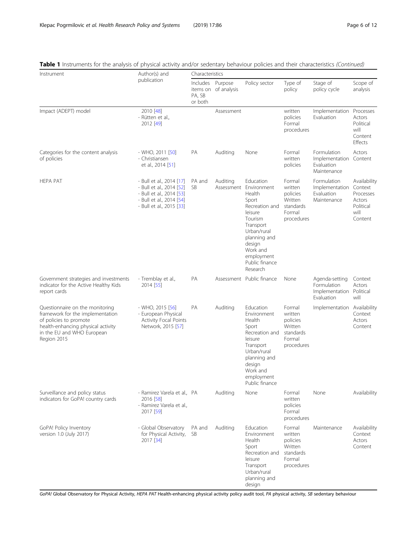| Instrument                                                                                                                                                                       | Author(s) and<br>publication                                                                                                             | Characteristics               |                                 |                                                                                                                                                                                                              |                                                                               |                                                                         |                                                                     |
|----------------------------------------------------------------------------------------------------------------------------------------------------------------------------------|------------------------------------------------------------------------------------------------------------------------------------------|-------------------------------|---------------------------------|--------------------------------------------------------------------------------------------------------------------------------------------------------------------------------------------------------------|-------------------------------------------------------------------------------|-------------------------------------------------------------------------|---------------------------------------------------------------------|
|                                                                                                                                                                                  |                                                                                                                                          | Includes<br>PA, SB<br>or both | Purpose<br>items on of analysis | Policy sector                                                                                                                                                                                                | Type of<br>policy                                                             | Stage of<br>policy cycle                                                | Scope of<br>analysis                                                |
| Impact (ADEPT) model                                                                                                                                                             | 2010 [48]<br>- Rütten et al.,<br>2012 [49]                                                                                               |                               | Assessment                      |                                                                                                                                                                                                              | written<br>policies<br>Formal<br>procedures                                   | Implementation Processes<br>Evaluation                                  | Actors<br>Political<br>will<br>Content<br>Effects                   |
| Categories for the content analysis<br>of policies                                                                                                                               | - WHO, 2011 [50]<br>- Christiansen<br>et al., 2014 [51]                                                                                  | PA                            | Auditing                        | None                                                                                                                                                                                                         | Formal<br>written<br>policies                                                 | Formulation<br>Implementation Content<br>Evaluation<br>Maintenance      | Actors                                                              |
| <b>HEPA PAT</b>                                                                                                                                                                  | - Bull et al., 2014 [17]<br>- Bull et al., 2014 [52]<br>- Bull et al., 2014 [53]<br>- Bull et al., 2014 [54]<br>- Bull et al., 2015 [33] | PA and<br><b>SB</b>           | Auditing                        | Education<br>Assessment Environment<br>Health<br>Sport<br>Recreation and<br>leisure<br>Tourism<br>Transport<br>Urban/rural<br>planning and<br>design<br>Work and<br>employment<br>Public finance<br>Research | Formal<br>written<br>policies<br>Written<br>standards<br>Formal<br>procedures | Formulation<br>Implementation Context<br>Evaluation<br>Maintenance      | Availability<br>Processes<br>Actors<br>Political<br>will<br>Content |
| Government strategies and investments<br>indicator for the Active Healthy Kids<br>report cards                                                                                   | - Tremblay et al.,<br>2014 [55]                                                                                                          | PA                            |                                 | Assessment Public finance                                                                                                                                                                                    | None                                                                          | Agenda-setting<br>Formulation<br>Implementation Political<br>Evaluation | Context<br>Actors<br>will                                           |
| Questionnaire on the monitoring<br>framework for the implementation<br>of policies to promote<br>health-enhancing physical activity<br>in the EU and WHO European<br>Region 2015 | - WHO, 2015 [56]<br>- European Physical<br>Activity Focal Points<br>Network, 2015 [57]                                                   | PA                            | Auditing                        | Education<br>Environment<br>Health<br>Sport<br>Recreation and<br>leisure<br>Transport<br>Urban/rural<br>planning and<br>design<br>Work and<br>employment<br>Public finance                                   | Formal<br>written<br>policies<br>Written<br>standards<br>Formal<br>procedures | Implementation Availability                                             | Context<br>Actors<br>Content                                        |
| Surveillance and policy status<br>indicators for GoPA! country cards                                                                                                             | - Ramirez Varela et al., PA<br>2016 [58]<br>- Ramirez Varela et al.,<br>2017 [59]                                                        |                               | Auditing                        | None                                                                                                                                                                                                         | Formal<br>written<br>policies<br>Formal<br>procedures                         | None                                                                    | Availability                                                        |
| GoPA! Policy Inventory<br>version 1.0 (July 2017)                                                                                                                                | - Global Observatory<br>for Physical Activity,<br>2017 [34]                                                                              | PA and<br><b>SB</b>           | Auditing                        | Education<br>Environment<br>Health<br>Sport<br>Recreation and<br>leisure<br>Transport<br>Urban/rural<br>planning and<br>design                                                                               | Formal<br>written<br>policies<br>Written<br>standards<br>Formal<br>procedures | Maintenance                                                             | Availability<br>Context<br>Actors<br>Content                        |

GoPA! Global Observatory for Physical Activity, HEPA PAT Health-enhancing physical activity policy audit tool, PA physical activity, SB sedentary behaviour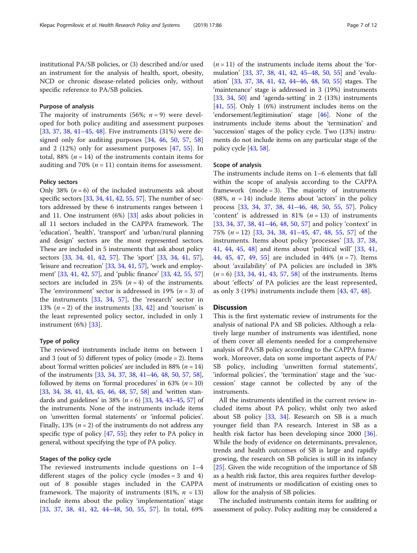institutional PA/SB policies, or (3) described and/or used an instrument for the analysis of health, sport, obesity, NCD or chronic disease-related policies only, without specific reference to PA/SB policies.

# Purpose of analysis

The majority of instruments (56%;  $n = 9$ ) were developed for both policy auditing and assessment purposes [[33,](#page-10-0) [37](#page-10-0), [38](#page-10-0), [41](#page-10-0)–[45,](#page-11-0) [48\]](#page-11-0). Five instruments (31%) were designed only for auditing purposes [\[34](#page-10-0), [46](#page-11-0), [50,](#page-11-0) [57,](#page-11-0) [58](#page-11-0)] and 2 (12%) only for assessment purposes [[47,](#page-11-0) [55](#page-11-0)]. In total, 88% ( $n = 14$ ) of the instruments contain items for auditing and 70% ( $n = 11$ ) contain items for assessment.

# Policy sectors

Only 38% ( $n = 6$ ) of the included instruments ask about specific sectors [\[33,](#page-10-0) [34](#page-10-0), [41,](#page-10-0) [42,](#page-10-0) [55](#page-11-0), [57\]](#page-11-0). The number of sectors addressed by these 6 instruments ranges between 1 and 11. One instrument (6%) [\[33\]](#page-10-0) asks about policies in all 11 sectors included in the CAPPA framework. The 'education', 'health', 'transport' and 'urban/rural planning and design' sectors are the most represented sectors. These are included in 5 instruments that ask about policy sectors [[33](#page-10-0), [34,](#page-10-0) [41,](#page-10-0) [42,](#page-10-0) [57\]](#page-11-0). The 'sport' [\[33](#page-10-0), [34](#page-10-0), [41](#page-10-0), [57](#page-11-0)], 'leisure and recreation' [\[33](#page-10-0), [34,](#page-10-0) [41](#page-10-0), [57\]](#page-11-0), 'work and employment' [[33](#page-10-0), [41](#page-10-0), [42](#page-10-0), [57](#page-11-0)], and 'public finance' [\[33,](#page-10-0) [42,](#page-10-0) [55](#page-11-0), [57](#page-11-0)] sectors are included in 25%  $(n = 4)$  of the instruments. The 'environment' sector is addressed in 19% ( $n = 3$ ) of the instruments [[33,](#page-10-0) [34](#page-10-0), [57\]](#page-11-0), the 'research' sector in 13%  $(n = 2)$  of the instruments [[33,](#page-10-0) [42](#page-10-0)] and 'tourism' is the least represented policy sector, included in only 1 instrument (6%) [\[33](#page-10-0)].

# Type of policy

The reviewed instruments include items on between 1 and 3 (out of 5) different types of policy (mode = 2). Items about 'formal written policies' are included in 88% ( $n = 14$ ) of the instruments [[33](#page-10-0), [34](#page-10-0), [37,](#page-10-0) [38,](#page-10-0) [41](#page-10-0)–[46,](#page-11-0) [48,](#page-11-0) [50,](#page-11-0) [57](#page-11-0), [58](#page-11-0)], followed by items on 'formal procedures' in 63% ( $n = 10$ ) [[33](#page-10-0), [34](#page-10-0), [38,](#page-10-0) [41](#page-10-0), [43](#page-11-0), [45,](#page-11-0) [46](#page-11-0), [48](#page-11-0), [57,](#page-11-0) [58](#page-11-0)] and 'written standards and guidelines' in 38% ( $n = 6$ ) [[33,](#page-10-0) [34](#page-10-0), [43](#page-11-0)–[45,](#page-11-0) [57](#page-11-0)] of the instruments. None of the instruments include items on 'unwritten formal statements' or 'informal policies'. Finally, 13% ( $n = 2$ ) of the instruments do not address any specific type of policy [[47](#page-11-0), [55\]](#page-11-0); they refer to PA policy in general, without specifying the type of PA policy.

# Stages of the policy cycle

The reviewed instruments include questions on 1–4 different stages of the policy cycle (modes = 3 and 4) out of 8 possible stages included in the CAPPA framework. The majority of instruments  $(81\%, n = 13)$ include items about the policy 'implementation' stage [[33,](#page-10-0) [37](#page-10-0), [38](#page-10-0), [41](#page-10-0), [42,](#page-10-0) [44](#page-11-0)–[48,](#page-11-0) [50](#page-11-0), [55](#page-11-0), [57](#page-11-0)]. In total, 69%

 $(n = 11)$  of the instruments include items about the 'formulation' [[33](#page-10-0), [37](#page-10-0), [38](#page-10-0), [41](#page-10-0), [42](#page-10-0), [45](#page-11-0)–[48](#page-11-0), [50](#page-11-0), [55](#page-11-0)] and 'evaluation' [\[33,](#page-10-0) [37](#page-10-0), [38](#page-10-0), [41](#page-10-0), [42,](#page-10-0) [44](#page-11-0)–[46](#page-11-0), [48,](#page-11-0) [50,](#page-11-0) [55](#page-11-0)] stages. The 'maintenance' stage is addressed in 3 (19%) instruments [[33](#page-10-0), [34,](#page-10-0) [50\]](#page-11-0) and 'agenda-setting' in 2 (13%) instruments [[41](#page-10-0), [55\]](#page-11-0). Only 1 (6%) instrument includes items on the 'endorsement/legitimisation' stage [\[46\]](#page-11-0). None of the instruments include items about the 'termination' and 'succession' stages of the policy cycle. Two (13%) instruments do not include items on any particular stage of the policy cycle [\[43](#page-11-0), [58](#page-11-0)].

# Scope of analysis

The instruments include items on 1–6 elements that fall within the scope of analysis according to the CAPPA framework (mode = 3). The majority of instruments (88%,  $n = 14$ ) include items about 'actors' in the policy process [\[33](#page-10-0), [34,](#page-10-0) [37,](#page-10-0) [38,](#page-10-0) [41](#page-10-0)–[46](#page-11-0), [48](#page-11-0), [50](#page-11-0), [55,](#page-11-0) [57\]](#page-11-0). Policy 'content' is addressed in 81%  $(n = 13)$  of instruments [[33,](#page-10-0) [34](#page-10-0), [37](#page-10-0), [38,](#page-10-0) [41](#page-10-0)–[46,](#page-11-0) [48,](#page-11-0) [50](#page-11-0), [57](#page-11-0)] and policy 'context' in 75% (n = 12) [[33,](#page-10-0) [34](#page-10-0), [38,](#page-10-0) [41](#page-10-0)–[45](#page-11-0), [47,](#page-11-0) [48,](#page-11-0) [55](#page-11-0), [57\]](#page-11-0) of the instruments. Items about policy 'processes' [\[33](#page-10-0), [37](#page-10-0), [38](#page-10-0), [41,](#page-10-0) [44](#page-11-0), [45,](#page-11-0) [48](#page-11-0)] and items about 'political will' [[33,](#page-10-0) [41](#page-10-0), [44,](#page-11-0) [45,](#page-11-0) [47](#page-11-0), [49](#page-11-0), [55](#page-11-0)] are included in 44%  $(n = 7)$ . Items about 'availability' of PA policies are included in 38%  $(n = 6)$  [[33,](#page-10-0) [34](#page-10-0), [41,](#page-10-0) [43](#page-11-0), [57](#page-11-0), [58\]](#page-11-0) of the instruments. Items about 'effects' of PA policies are the least represented, as only 3 (19%) instruments include them [[43](#page-11-0), [47](#page-11-0), [48](#page-11-0)].

# **Discussion**

This is the first systematic review of instruments for the analysis of national PA and SB policies. Although a relatively large number of instruments was identified, none of them cover all elements needed for a comprehensive analysis of PA/SB policy according to the CAPPA framework. Moreover, data on some important aspects of PA/ SB policy, including 'unwritten formal statements', 'informal policies', the 'termination' stage and the 'succession' stage cannot be collected by any of the instruments.

All the instruments identified in the current review included items about PA policy, whilst only two asked about SB policy [\[33,](#page-10-0) [34](#page-10-0)]. Research on SB is a much younger field than PA research. Interest in SB as a health risk factor has been developing since 2000 [\[36](#page-10-0)]. While the body of evidence on determinants, prevalence, trends and health outcomes of SB is large and rapidly growing, the research on SB policies is still in its infancy [[25\]](#page-10-0). Given the wide recognition of the importance of SB as a health risk factor, this area requires further development of instruments or modification of existing ones to allow for the analysis of SB policies.

The included instruments contain items for auditing or assessment of policy. Policy auditing may be considered a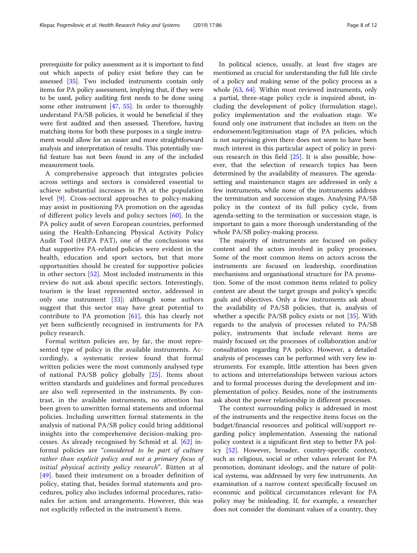prerequisite for policy assessment as it is important to find out which aspects of policy exist before they can be assessed [[35](#page-10-0)]. Two included instruments contain only items for PA policy assessment, implying that, if they were to be used, policy auditing first needs to be done using some other instrument  $[47, 55]$  $[47, 55]$  $[47, 55]$  $[47, 55]$  $[47, 55]$ . In order to thoroughly understand PA/SB policies, it would be beneficial if they were first audited and then assessed. Therefore, having matching items for both these purposes in a single instrument would allow for an easier and more straightforward analysis and interpretation of results. This potentially useful feature has not been found in any of the included measurement tools.

A comprehensive approach that integrates policies across settings and sectors is considered essential to achieve substantial increases in PA at the population level [\[9](#page-10-0)]. Cross-sectoral approaches to policy-making may assist in positioning PA promotion on the agendas of different policy levels and policy sectors [[60\]](#page-11-0). In the PA policy audit of seven European countries, performed using the Health-Enhancing Physical Activity Policy Audit Tool (HEPA PAT), one of the conclusions was that supportive PA-related policies were evident in the health, education and sport sectors, but that more opportunities should be created for supportive policies in other sectors [[52\]](#page-11-0). Most included instruments in this review do not ask about specific sectors. Interestingly, tourism is the least represented sector, addressed in only one instrument [\[33](#page-10-0)]; although some authors suggest that this sector may have great potential to contribute to PA promotion [[61\]](#page-11-0), this has clearly not yet been sufficiently recognised in instruments for PA policy research.

Formal written policies are, by far, the most represented type of policy in the available instruments. Accordingly, a systematic review found that formal written policies were the most commonly analysed type of national PA/SB policy globally [\[25](#page-10-0)]. Items about written standards and guidelines and formal procedures are also well represented in the instruments. By contrast, in the available instruments, no attention has been given to unwritten formal statements and informal policies. Including unwritten formal statements in the analysis of national PA/SB policy could bring additional insights into the comprehensive decision-making processes. As already recognised by Schmid et al. [[62\]](#page-11-0) informal policies are "considered to be part of culture rather than explicit policy and not a primary focus of initial physical activity policy research". Rütten at al [[49\]](#page-11-0). based their instrument on a broader definition of policy, stating that, besides formal statements and procedures, policy also includes informal procedures, rationales for action and arrangements. However, this was not explicitly reflected in the instrument's items.

In political science, usually, at least five stages are mentioned as crucial for understanding the full life circle of a policy and making sense of the policy process as a whole [[63,](#page-11-0) [64](#page-11-0)]. Within most reviewed instruments, only a partial, three-stage policy cycle is inquired about, including the development of policy (formulation stage), policy implementation and the evaluation stage. We found only one instrument that includes an item on the endorsement/legitimisation stage of PA policies, which is not surprising given there does not seem to have been much interest in this particular aspect of policy in previous research in this field [[25\]](#page-10-0). It is also possible, however, that the selection of research topics has been determined by the availability of measures. The agendasetting and maintenance stages are addressed in only a few instruments, while none of the instruments address the termination and succession stages. Analysing PA/SB policy in the context of its full policy cycle, from agenda-setting to the termination or succession stage, is important to gain a more thorough understanding of the whole PA/SB policy-making process.

The majority of instruments are focused on policy content and the actors involved in policy processes. Some of the most common items on actors across the instruments are focused on leadership, coordination mechanisms and organisational structure for PA promotion. Some of the most common items related to policy content are about the target groups and policy's specific goals and objectives. Only a few instruments ask about the availability of PA/SB policies, that is, analysis of whether a specific PA/SB policy exists or not [\[35\]](#page-10-0). With regards to the analysis of processes related to PA/SB policy, instruments that include relevant items are mainly focused on the processes of collaboration and/or consultation regarding PA policy. However, a detailed analysis of processes can be performed with very few instruments. For example, little attention has been given to actions and interrelationships between various actors and to formal processes during the development and implementation of policy. Besides, none of the instruments ask about the power relationship in different processes.

The context surrounding policy is addressed in most of the instruments and the respective items focus on the budget/financial resources and political will/support regarding policy implementation. Assessing the national policy context is a significant first step to better PA policy [\[52\]](#page-11-0). However, broader, country-specific context, such as religious, social or other values relevant for PA promotion, dominant ideology, and the nature of political systems, was addressed by very few instruments. An examination of a narrow context specifically focused on economic and political circumstances relevant for PA policy may be misleading. If, for example, a researcher does not consider the dominant values of a country, they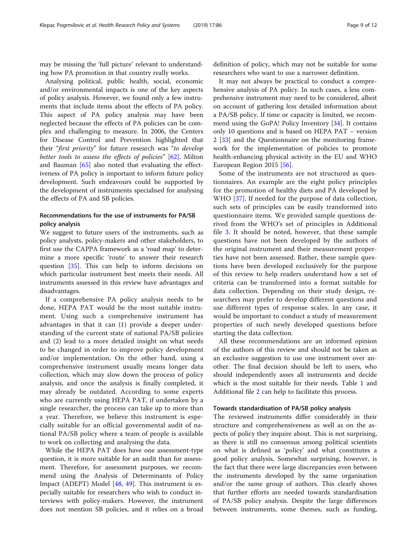may be missing the 'full picture' relevant to understanding how PA promotion in that country really works.

Analysing political, public health, social, economic and/or environmental impacts is one of the key aspects of policy analysis. However, we found only a few instruments that include items about the effects of PA policy. This aspect of PA policy analysis may have been neglected because the effects of PA policies can be complex and challenging to measure. In 2006, the Centers for Disease Control and Prevention highlighted that their "first priority" for future research was "to develop better tools to assess the effects of policies" [\[62](#page-11-0)]. Milton and Bauman [[65\]](#page-11-0) also noted that evaluating the effectiveness of PA policy is important to inform future policy development. Such endeavours could be supported by the development of instruments specialised for analysing the effects of PA and SB policies.

# Recommendations for the use of instruments for PA/SB policy analysis

We suggest to future users of the instruments, such as policy analysts, policy-makers and other stakeholders, to first use the CAPPA framework as a 'road map' to determine a more specific 'route' to answer their research question [[35](#page-10-0)]. This can help to inform decisions on which particular instrument best meets their needs. All instruments assessed in this review have advantages and disadvantages.

If a comprehensive PA policy analysis needs to be done, HEPA PAT would be the most suitable instrument. Using such a comprehensive instrument has advantages in that it can (1) provide a deeper understanding of the current state of national PA/SB policies and (2) lead to a more detailed insight on what needs to be changed in order to improve policy development and/or implementation. On the other hand, using a comprehensive instrument usually means longer data collection, which may slow down the process of policy analysis, and once the analysis is finally completed, it may already be outdated. According to some experts who are currently using HEPA PAT, if undertaken by a single researcher, the process can take up to more than a year. Therefore, we believe this instrument is especially suitable for an official governmental audit of national PA/SB policy where a team of people is available to work on collecting and analysing the data.

While the HEPA PAT does have one assessment-type question, it is more suitable for an audit than for assessment. Therefore, for assessment purposes, we recommend using the Analysis of Determinants of Policy Impact (ADEPT) Model [[48,](#page-11-0) [49](#page-11-0)]. This instrument is especially suitable for researchers who wish to conduct interviews with policy-makers. However, the instrument does not mention SB policies, and it relies on a broad

definition of policy, which may not be suitable for some researchers who want to use a narrower definition.

It may not always be practical to conduct a comprehensive analysis of PA policy. In such cases, a less comprehensive instrument may need to be considered, albeit on account of gathering less detailed information about a PA/SB policy. If time or capacity is limited, we recommend using the GoPA! Policy Inventory [\[34](#page-10-0)]. It contains only 10 questions and is based on HEPA PAT – version 2 [[33](#page-10-0)] and the Questionnaire on the monitoring framework for the implementation of policies to promote health-enhancing physical activity in the EU and WHO European Region 2015 [[56](#page-11-0)].

Some of the instruments are not structured as questionnaires. An example are the eight policy principles for the promotion of healthy diets and PA developed by WHO [\[37](#page-10-0)]. If needed for the purpose of data collection, such sets of principles can be easily transformed into questionnaire items. We provided sample questions derived from the WHO's set of principles in Additional file [3.](#page-9-0) It should be noted, however, that these sample questions have not been developed by the authors of the original instrument and their measurement properties have not been assessed. Rather, these sample questions have been developed exclusively for the purpose of this review to help readers understand how a set of criteria can be transformed into a format suitable for data collection. Depending on their study design, researchers may prefer to develop different questions and use different types of response scales. In any case, it would be important to conduct a study of measurement properties of such newly developed questions before starting the data collection.

All these recommendations are an informed opinion of the authors of this review and should not be taken as an exclusive suggestion to use one instrument over another. The final decision should be left to users, who should independently asses all instruments and decide which is the most suitable for their needs. Table [1](#page-4-0) and Additional file [2](#page-9-0) can help to facilitate this process.

# Towards standardisation of PA/SB policy analysis

The reviewed instruments differ considerably in their structure and comprehensiveness as well as on the aspects of policy they inquire about. This is not surprising, as there is still no consensus among political scientists on what is defined as 'policy' and what constitutes a good policy analysis. Somewhat surprising, however, is the fact that there were large discrepancies even between the instruments developed by the same organisation and/or the same group of authors. This clearly shows that further efforts are needed towards standardisation of PA/SB policy analysis. Despite the large differences between instruments, some themes, such as funding,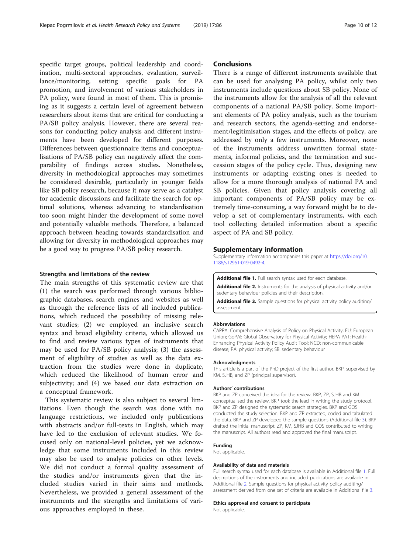<span id="page-9-0"></span>specific target groups, political leadership and coordination, multi-sectoral approaches, evaluation, surveillance/monitoring, setting specific goals for PA promotion, and involvement of various stakeholders in PA policy, were found in most of them. This is promising as it suggests a certain level of agreement between researchers about items that are critical for conducting a PA/SB policy analysis. However, there are several reasons for conducting policy analysis and different instruments have been developed for different purposes. Differences between questionnaire items and conceptualisations of PA/SB policy can negatively affect the comparability of findings across studies. Nonetheless, diversity in methodological approaches may sometimes be considered desirable, particularly in younger fields like SB policy research, because it may serve as a catalyst for academic discussions and facilitate the search for optimal solutions, whereas advancing to standardisation too soon might hinder the development of some novel and potentially valuable methods. Therefore, a balanced approach between heading towards standardisation and allowing for diversity in methodological approaches may be a good way to progress PA/SB policy research.

# Strengths and limitations of the review

The main strengths of this systematic review are that (1) the search was performed through various bibliographic databases, search engines and websites as well as through the reference lists of all included publications, which reduced the possibility of missing relevant studies; (2) we employed an inclusive search syntax and broad eligibility criteria, which allowed us to find and review various types of instruments that may be used for PA/SB policy analysis; (3) the assessment of eligibility of studies as well as the data extraction from the studies were done in duplicate, which reduced the likelihood of human error and subjectivity; and (4) we based our data extraction on a conceptual framework.

This systematic review is also subject to several limitations. Even though the search was done with no language restrictions, we included only publications with abstracts and/or full-texts in English, which may have led to the exclusion of relevant studies. We focused only on national-level policies, yet we acknowledge that some instruments included in this review may also be used to analyse policies on other levels. We did not conduct a formal quality assessment of the studies and/or instruments given that the included studies varied in their aims and methods. Nevertheless, we provided a general assessment of the instruments and the strengths and limitations of various approaches employed in these.

# **Conclusions**

There is a range of different instruments available that can be used for analysing PA policy, whilst only two instruments include questions about SB policy. None of the instruments allow for the analysis of all the relevant components of a national PA/SB policy. Some important elements of PA policy analysis, such as the tourism and research sectors, the agenda-setting and endorsement/legitimisation stages, and the effects of policy, are addressed by only a few instruments. Moreover, none of the instruments address unwritten formal statements, informal policies, and the termination and succession stages of the policy cycle. Thus, designing new instruments or adapting existing ones is needed to allow for a more thorough analysis of national PA and SB policies. Given that policy analysis covering all important components of PA/SB policy may be extremely time-consuming, a way forward might be to develop a set of complementary instruments, with each tool collecting detailed information about a specific aspect of PA and SB policy.

# Supplementary information

Supplementary information accompanies this paper at [https://doi.org/10.](https://doi.org/10.1186/s12961-019-0492-4) [1186/s12961-019-0492-4.](https://doi.org/10.1186/s12961-019-0492-4)

Additional file 1. Full search syntax used for each database.

Additional file 2. Instruments for the analysis of physical activity and/or sedentary behaviour policies and their description.

Additional file 3. Sample questions for physical activity policy auditing/ assessment.

#### Abbreviations

CAPPA: Comprehensive Analysis of Policy on Physical Activity; EU: European Union; GoPA!: Global Observatory for Physical Activity; HEPA PAT: Health-Enhancing Physical Activity Policy Audit Tool; NCD: non-communicable disease; PA: physical activity; SB: sedentary behaviour

#### Acknowledgments

This article is a part of the PhD project of the first author, BKP, supervised by KM, SJHB, and ZP (principal supervisor).

#### Authors' contributions

BKP and ZP conceived the idea for the review. BKP, ZP, SJHB and KM conceptualised the review. BKP took the lead in writing the study protocol. BKP and ZP designed the systematic search strategies. BKP and GOS conducted the study selection. BKP and ZP extracted, coded and tabulated the data. BKP and ZP developed the sample questions (Additional file 3). BKP drafted the initial manuscript. ZP, KM, SJHB and GOS contributed to writing the manuscript. All authors read and approved the final manuscript.

# Funding

Not applicable.

#### Availability of data and materials

Full search syntax used for each database is available in Additional file 1. Full descriptions of the instruments and included publications are available in Additional file 2. Sample questions for physical activity policy auditing/ assessment derived from one set of criteria are available in Additional file 3.

#### Ethics approval and consent to participate

Not applicable.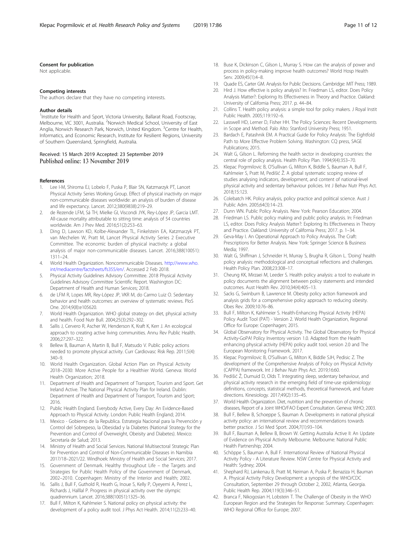# <span id="page-10-0"></span>Consent for publication

Not applicable.

# Competing interests

The authors declare that they have no competing interests.

#### Author details

<sup>1</sup>Institute for Health and Sport, Victoria University, Ballarat Road, Footscray, Melbourne, VIC 3001, Australia. <sup>2</sup>Norwich Medical School, University of East Anglia, Norwich Research Park, Norwich, United Kingdom. <sup>3</sup>Centre for Health, Informatics, and Economic Research, Institute for Resilient Regions, University of Southern Queensland, Springfield, Australia.

# Received: 15 March 2019 Accepted: 23 September 2019 Published online: 13 November 2019

#### References

- Lee I-M, Shiroma EJ, Lobelo F, Puska P, Blair SN, Katzmarzyk PT, Lancet Physical Activity Series Working Group. Effect of physical inactivity on major non-communicable diseases worldwide: an analysis of burden of disease and life expectancy. Lancet. 2012;380(9838):219–29.
- 2. de Rezende LFM, Sá TH, Mielke GI, Viscondi JYK, Rey-López JP, Garcia LMT. All-cause mortality attributable to sitting time: analysis of 54 countries worldwide. Am J Prev Med. 2016;51(2):253–63.
- 3. Ding D, Lawson KD, Kolbe-Alexander TL, Finkelstein EA, Katzmarzyk PT, van Mechelen W, Pratt M, Lancet Physical Activity Series 2 Executive Committee. The economic burden of physical inactivity: a global analysis of major non-communicable diseases. Lancet. 2016;388(10051): 1311–24.
- 4. World Health Organization. Noncommunicable Diseases. [http://www.who.](http://www.who.int/mediacentre/factsheets/fs355/en/) [int/mediacentre/factsheets/fs355/en/](http://www.who.int/mediacentre/factsheets/fs355/en/). Accessed 2 Feb 2018.
- 5. Physical Activity Guidelines Advisory Committee. 2018 Physical Activity Guidelines Advisory Committee Scientific Report. Washington DC: Department of Health and Human Services; 2018.
- 6. de LFM R, Lopes MR, Rey-López JP, VKR M, do Carmo Luiz O. Sedentary behavior and health outcomes: an overview of systematic reviews. PloS One. 2014;9(8):e105620.
- 7. World Health Organization. WHO global strategy on diet, physical activity and health. Food Nutr Bull. 2004;25(3):292–302.
- Sallis J, Cervero R, Ascher W, Henderson K, Kraft K, Kerr J. An ecological approach to creating active living communities. Annu Rev Public Health. 2006;27:297–322.
- 9. Bellew B, Bauman A, Martin B, Bull F, Matsudo V. Public policy actions needed to promote physical activity. Curr Cardiovasc Risk Rep. 2011;5(4): 340–9.
- 10. World Health Organization. Global Action Plan on Physical Activity 2018–2030: More Active People for a Healthier World. Geneva: World Health Organization; 2018.
- 11. Department of Health and Department of Transport, Tourism and Sport. Get Ireland Active. The National Physical Activity Plan for Ireland. Dublin: Department of Health and Department of Transport, Tourism and Sport; 2016.
- 12. Public Health England. Everybody Active, Every Day: An Evidence-Based Approach to Physical Activity. London: Public Health England; 2014.
- 13. Mexico Gobierno de la Republica. Estrategia Nacional para la Prevención y Control del Sobrepeso, la Obesidad y la Diabetes (National Strategy for the Prevention and Control of Overweight, Obeisity and Diabetes). Mexico: Secretaría de Salud; 2013.
- 14. Ministry of Health and Social Services. National Multisectoral Strategic Plan for Prevention and Control of Non-Communicable Diseases in Namibia 2017/18–2021/22. Windhoek: Ministry of Health and Social Services; 2017.
- 15. Government of Denmark. Healthy throughout Life the Targets and Strategies for Public Health Policy of the Government of Denmark, 2002–2010. Copenhagen: Ministry of the Interior and Health; 2002.
- 16. Sallis J, Bull F, Guthold R, Heath G, Inoue S, Kelly P, Oyeyemi A, Perez L, Richards J, Halllal P. Progress in physical activity over the olympic quadrennium. Lancet. 2016;388(10051):1325–36.
- 17. Bull F, Milton K, Kahlmeier S. National policy on physical activity: the development of a policy audit tool. J Phys Act Health. 2014;11(2):233–40.
- 18. Buse K, Dickinson C, Gilson L, Murray S. How can the analysis of power and process in policy-making improve health outcomes? World Hosp Health Serv. 2009;45(1):4–8.
- 19. Quade ES, Carter GM. Analysis for Public Decisions. Cambridge: MIT Press; 1989.
- 20. Hird J. How effective is policy analysis? In: Friedman LS, editor. Does Policy Analysis Matter?: Exploring Its Effectiveness in Theory and Practice. Oakland: University of California Press; 2017. p. 44–84.
- 21. Collins T. Health policy analysis: a simple tool for policy makers. J Royal Instit Public Health. 2005;119:192–6.
- 22. Lasswell HD, Lerner D, Fisher HH. The Policy Sciences: Recent Developments in Scope and Method. Palo Alto: Stanford University Press; 1951.
- 23. Bardach E, Patashnik EM. A Practical Guide for Policy Analysis: The Eightfold Path to More Effective Problem Solving. Washington: CQ press, SAGE Publications; 2015.
- 24. Walt G, Gilson L. Reforming the health sector in developing countries: the central role of policy analysis. Health Policy Plan. 1994;9(4):353–70.
- 25. Klepac Pogrmilovic B, O'Sullivan G, Milton K, Biddle S, Bauman A, Bull F, Kahlmeier S, Pratt M, Pedišić Ž. A global systematic scoping review of studies analysing indicators, development, and content of national-level physical activity and sedentary behaviour policies. Int J Behav Nutr Phys Act. 2018;15:123.
- 26. Colebatch HK. Policy analysis, policy practice and political science. Aust J Public Adm. 2005;64(3):14–23.
- 27. Dunn WN. Public Policy Analysis. New York: Pearson Education; 2004.
- 28. Friedman LS. Public policy making and public policy analysis. In: Friedman LS, editor. Does Policy Analysis Matter?: Exploring Its Effectiveness in Theory and Practice. Oakland: University of California Press; 2017. p. 1–34.
- 29. Geva-May I. An Operational Approach to Policy Analysis. The Craft: Prescriptions for Better Analysis. New York: Springer Science & Business Media; 1997.
- 30. Walt G, Shiffman J, Schneider H, Murray S, Brugha R, Gilson L. 'Doing' health policy analysis: methodological and conceptual reflections and challenges. Health Policy Plan. 2008;23:308–17.
- 31. Cheung KK, Mirzaei M, Leeder S. Health policy analysis: a tool to evaluate in policy documents the alignment between policy statements and intended outcomes. Aust Health Rev. 2010;34(4):405–13.
- 32. Sacks G, Swinburn B, Lawrence M. Obesity policy action framework and analysis grids for a comprehensive policy approach to reducing obesity. Obes Rev. 2009;10:76–86.
- 33. Bull F, Milton K, Kahlmeier S. Health-Enhancing Physical Activity (HEPA) Policy Audit Tool (PAT) - Version 2. World Health Organization, Regional Office for Europe: Copenhagen; 2015.
- 34. Global Observatory for Physical Activity. The Global Observatory for Physical Activity-GoPA! Policy Inventory version 1.0. Adapted from the Health enhancing physical activity (HEPA) policy audit tool, version 2.0 and The European Monitoring Framework. 2017.
- 35. Klepac Pogrmilovic B, O'Sullivan G, Milton K, Biddle SJH, Pedisic Z. The development of the Comprehensive Analysis of Policy on Physical Activity (CAPPA) framework. Int J Behav Nutr Phys Act. 2019;16:60.
- 36. Pedišić Ž, Dumuid D, Olds T. Integrating sleep, sedentary behaviour, and physical activity research in the emerging field of time-use epidemiology: definitions, concepts, statistical methods, theoretical framework, and future directions. Kinesiology. 2017;49(2):135–45.
- 37. World Health Organization. Diet, nutrition and the prevention of chronic diseases, Report of a Joint WHO/FAO Expert Consultation. Geneva: WHO; 2003.
- 38. Bull F, Bellew B, Schoeppe S, Bauman A. Developments in national physical activity policy: an international review and recommendations towards better practice. J Sci Med Sport. 2004;7(1):93–104.
- 39. Bull F, Bauman A, Bellew B, Brown W. Getting Australia Active II: An Update of Evidence on Physical Activity Melbourne. Melbourne: National Public Health Partnership; 2004.
- 40. Schöppe S, Bauman A, Bull F. International Review of National Physical Activity Policy - A Literature Review. NSW Centre for Physical Activity and Health: Sydney; 2004.
- 41. Shephard RJ, Lankenau B, Pratt M, Neiman A, Puska P, Benaziza H, Bauman A. Physical Activity Policy Development: a synopsis of the WHO/CDC Consultation, September 29 through October 2, 2002, Atlanta, Georgia. Public Health Rep. 2004;119(3):346–51.
- 42. Branca F, Nikogosian H, Lobstein T. The Challenge of Obesity in the WHO European Region and the Strategies for Response: Summary. Copenhagen: WHO Regional Office for Europe; 2007.